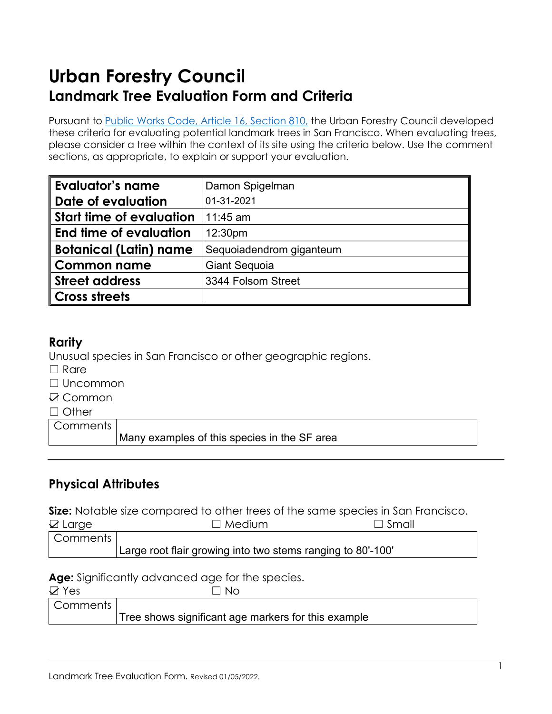# **Urban Forestry Council Landmark Tree Evaluation Form and Criteria**

Pursuant to [Public Works Code,](https://codelibrary.amlegal.com/codes/san_francisco/latest/sf_publicworks/0-0-0-4204) Article 16, Section 810, the Urban Forestry Council developed these criteria for evaluating potential landmark trees in San Francisco. When evaluating trees, please consider a tree within the context of its site using the criteria below. Use the comment sections, as appropriate, to explain or support your evaluation.

| <b>Evaluator's name</b>         | Damon Spigelman          |  |
|---------------------------------|--------------------------|--|
| Date of evaluation              | 01-31-2021               |  |
| <b>Start time of evaluation</b> | 11:45 am                 |  |
| End time of evaluation          | 12:30pm                  |  |
| <b>Botanical (Latin) name</b>   | Sequoiadendrom giganteum |  |
| <b>Common name</b>              | <b>Giant Sequoia</b>     |  |
| <b>Street address</b>           | 3344 Folsom Street       |  |
| <b>Cross streets</b>            |                          |  |

## **Rarity**

Unusual species in San Francisco or other geographic regions.

- $\Box$  Rare
- ☐ Uncommon
- **☑ Common**
- □ Other

**Comments** 

Many examples of this species in the SF area

# **Physical Attributes**

**Size:** Notable size compared to other trees of the same species in San Francisco.

| $\boxtimes$ Large       | $\Box$ Medium                                               | $\Box$ Small |
|-------------------------|-------------------------------------------------------------|--------------|
| <sup>I</sup> Comments I |                                                             |              |
|                         | Large root flair growing into two stems ranging to 80'-100' |              |

**Age:** Significantly advanced age for the species.

| $\boxtimes$ Yes | ' N∩                                                |
|-----------------|-----------------------------------------------------|
| Comments        |                                                     |
|                 | Tree shows significant age markers for this example |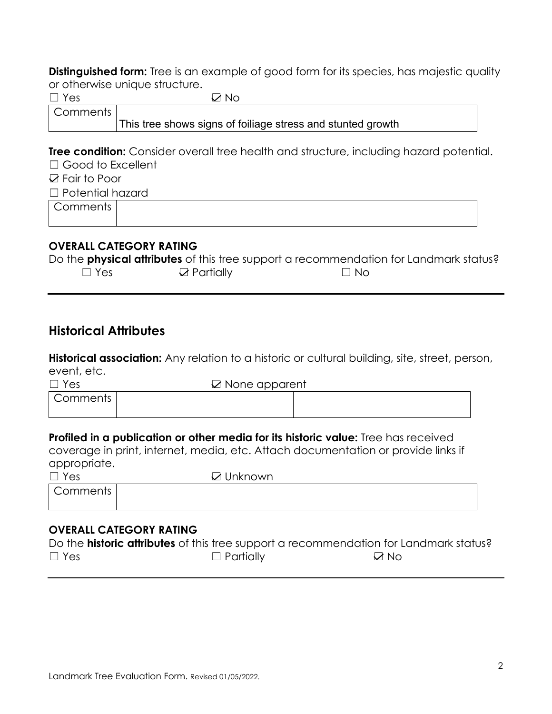**Distinguished form:** Tree is an example of good form for its species, has majestic quality or otherwise unique structure.

| Yes                      | ⊠ No                                                                                           |  |  |
|--------------------------|------------------------------------------------------------------------------------------------|--|--|
| Comments                 |                                                                                                |  |  |
|                          | This tree shows signs of foiliage stress and stunted growth                                    |  |  |
|                          | <b>Tree condition:</b> Consider overall tree health and structure, including hazard potential. |  |  |
| $\Box$ Good to Excellent |                                                                                                |  |  |
| $\boxtimes$ Fair to Poor |                                                                                                |  |  |
| $\Box$ Potential hazard  |                                                                                                |  |  |
| Comments                 |                                                                                                |  |  |
|                          |                                                                                                |  |  |
|                          | <b>OVERALL CATECORY RATING</b>                                                                 |  |  |

#### **OVERALL CATEGORY RATING**

|            |                       | Do the <b>physical attributes</b> of this tree support a recommendation for Landmark status? |
|------------|-----------------------|----------------------------------------------------------------------------------------------|
| $\Box$ Yes | $\boxtimes$ Partially | $\Box$ No                                                                                    |

# **Historical Attributes**

**Historical association:** Any relation to a historic or cultural building, site, street, person, event, etc.

| $\Box$ Yes | $\boxtimes$ None apparent |  |
|------------|---------------------------|--|
| Comments   |                           |  |
|            |                           |  |

### **Profiled in a publication or other media for its historic value:** Tree has received

coverage in print, internet, media, etc. Attach documentation or provide links if appropriate.

| $\Box$ Yes | $\boxtimes$ Unknown |
|------------|---------------------|
| Comments   |                     |
|            |                     |

### **OVERALL CATEGORY RATING**

|            |                  | Do the <b>historic attributes</b> of this tree support a recommendation for Landmark status? |
|------------|------------------|----------------------------------------------------------------------------------------------|
| $\Box$ Yes | $\Box$ Partially | <b>V</b> No                                                                                  |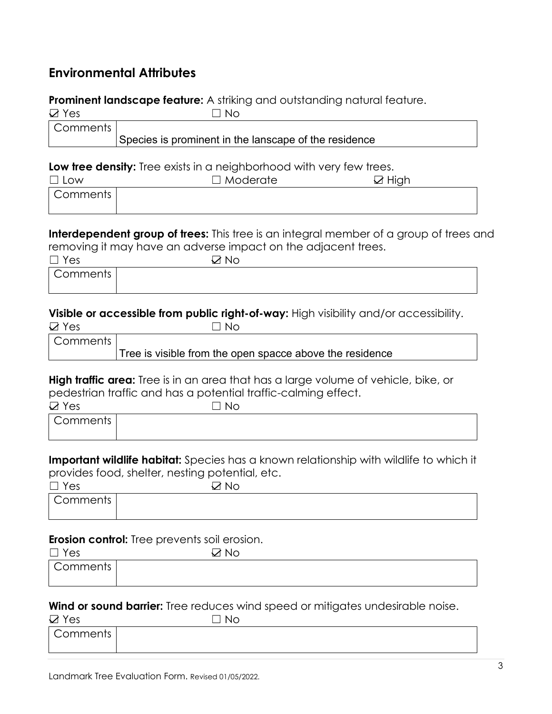# **Environmental Attributes**

## **Prominent landscape feature:** A striking and outstanding natural feature.

| $\boxtimes$ Yes | ⊣ ∃ Ne –                                              |  |
|-----------------|-------------------------------------------------------|--|
| Comments        |                                                       |  |
|                 | Species is prominent in the lanscape of the residence |  |

#### **Low tree density:** Tree exists in a neighborhood with very few trees.

| $\Box$ Low | $\Box$ Moderate | $\boxtimes$ High |
|------------|-----------------|------------------|
| Comments   |                 |                  |
|            |                 |                  |

**Interdependent group of trees:** This tree is an integral member of a group of trees and removing it may have an adverse impact on the adjacent trees.

| $\Box$ Yes | $\neg$ No |  |
|------------|-----------|--|
| Comments   |           |  |
|            |           |  |

#### **Visible or accessible from public right-of-way:** High visibility and/or accessibility.

| - -<br>∸<br>м        |  |
|----------------------|--|
| __<br>. .<br>__<br>. |  |

| Comments |                                                          |
|----------|----------------------------------------------------------|
|          | Tree is visible from the open spacce above the residence |

**High traffic area:** Tree is in an area that has a large volume of vehicle, bike, or pedestrian traffic and has a potential traffic-calming effect.

| $\boxtimes$ Yes | No |  |
|-----------------|----|--|
| Comments        |    |  |
|                 |    |  |

**Important wildlife habitat:** Species has a known relationship with wildlife to which it provides food, shelter, nesting potential, etc.

| $\Box$ Yes | <b>Nc</b> |  |
|------------|-----------|--|
| Comments   |           |  |
|            |           |  |

#### **Erosion control:** Tree prevents soil erosion.

| $\Box$ Yes | __<br>$\Box$ No |  |
|------------|-----------------|--|
| Comments   |                 |  |
|            |                 |  |

### **Wind or sound barrier:** Tree reduces wind speed or mitigates undesirable noise.

| $\boxtimes$ Yes | No |  |
|-----------------|----|--|
| Comments        |    |  |